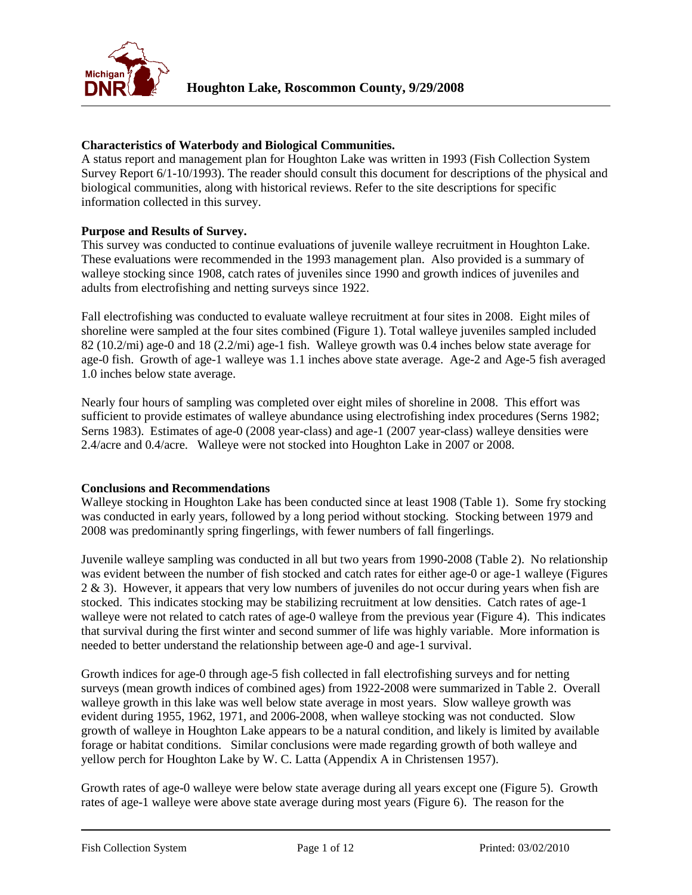

### **Characteristics of Waterbody and Biological Communities.**

A status report and management plan for Houghton Lake was written in 1993 (Fish Collection System Survey Report 6/1-10/1993). The reader should consult this document for descriptions of the physical and biological communities, along with historical reviews. Refer to the site descriptions for specific information collected in this survey.

#### **Purpose and Results of Survey.**

This survey was conducted to continue evaluations of juvenile walleye recruitment in Houghton Lake. These evaluations were recommended in the 1993 management plan. Also provided is a summary of walleye stocking since 1908, catch rates of juveniles since 1990 and growth indices of juveniles and adults from electrofishing and netting surveys since 1922.

Fall electrofishing was conducted to evaluate walleye recruitment at four sites in 2008. Eight miles of shoreline were sampled at the four sites combined (Figure 1). Total walleye juveniles sampled included 82 (10.2/mi) age-0 and 18 (2.2/mi) age-1 fish. Walleye growth was 0.4 inches below state average for age-0 fish. Growth of age-1 walleye was 1.1 inches above state average. Age-2 and Age-5 fish averaged 1.0 inches below state average.

Nearly four hours of sampling was completed over eight miles of shoreline in 2008. This effort was sufficient to provide estimates of walleye abundance using electrofishing index procedures (Serns 1982; Serns 1983). Estimates of age-0 (2008 year-class) and age-1 (2007 year-class) walleye densities were 2.4/acre and 0.4/acre. Walleye were not stocked into Houghton Lake in 2007 or 2008.

#### **Conclusions and Recommendations**

Walleye stocking in Houghton Lake has been conducted since at least 1908 (Table 1). Some fry stocking was conducted in early years, followed by a long period without stocking. Stocking between 1979 and 2008 was predominantly spring fingerlings, with fewer numbers of fall fingerlings.

Juvenile walleye sampling was conducted in all but two years from 1990-2008 (Table 2). No relationship was evident between the number of fish stocked and catch rates for either age-0 or age-1 walleye (Figures 2 & 3). However, it appears that very low numbers of juveniles do not occur during years when fish are stocked. This indicates stocking may be stabilizing recruitment at low densities. Catch rates of age-1 walleye were not related to catch rates of age-0 walleye from the previous year (Figure 4). This indicates that survival during the first winter and second summer of life was highly variable. More information is needed to better understand the relationship between age-0 and age-1 survival.

Growth indices for age-0 through age-5 fish collected in fall electrofishing surveys and for netting surveys (mean growth indices of combined ages) from 1922-2008 were summarized in Table 2. Overall walleye growth in this lake was well below state average in most years. Slow walleye growth was evident during 1955, 1962, 1971, and 2006-2008, when walleye stocking was not conducted. Slow growth of walleye in Houghton Lake appears to be a natural condition, and likely is limited by available forage or habitat conditions. Similar conclusions were made regarding growth of both walleye and yellow perch for Houghton Lake by W. C. Latta (Appendix A in Christensen 1957).

Growth rates of age-0 walleye were below state average during all years except one (Figure 5). Growth rates of age-1 walleye were above state average during most years (Figure 6). The reason for the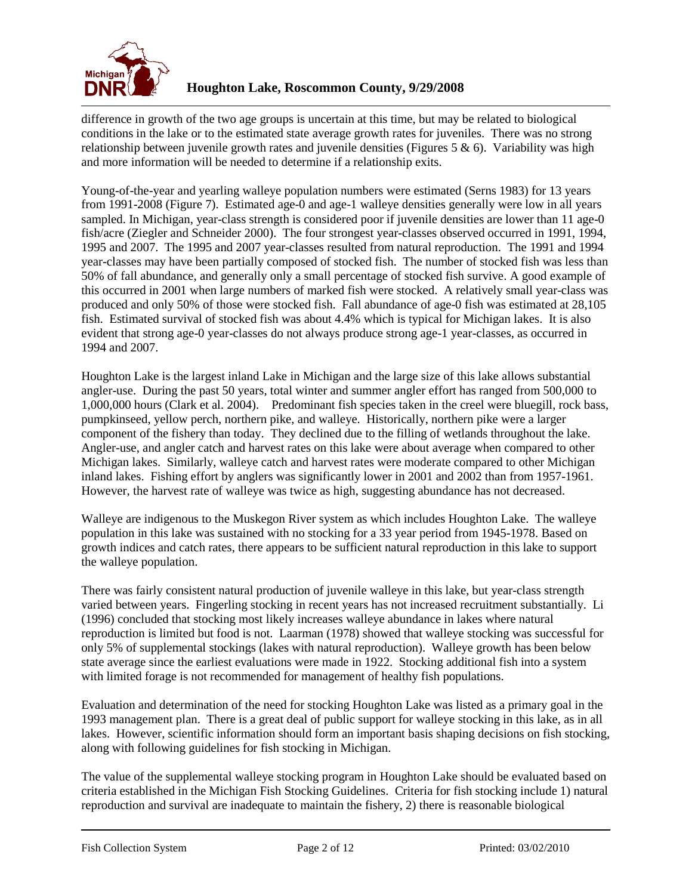

difference in growth of the two age groups is uncertain at this time, but may be related to biological conditions in the lake or to the estimated state average growth rates for juveniles. There was no strong relationship between juvenile growth rates and juvenile densities (Figures  $5 \& 6$ ). Variability was high and more information will be needed to determine if a relationship exits.

Young-of-the-year and yearling walleye population numbers were estimated (Serns 1983) for 13 years from 1991-2008 (Figure 7). Estimated age-0 and age-1 walleye densities generally were low in all years sampled. In Michigan, year-class strength is considered poor if juvenile densities are lower than 11 age-0 fish/acre (Ziegler and Schneider 2000). The four strongest year-classes observed occurred in 1991, 1994, 1995 and 2007. The 1995 and 2007 year-classes resulted from natural reproduction. The 1991 and 1994 year-classes may have been partially composed of stocked fish. The number of stocked fish was less than 50% of fall abundance, and generally only a small percentage of stocked fish survive. A good example of this occurred in 2001 when large numbers of marked fish were stocked. A relatively small year-class was produced and only 50% of those were stocked fish. Fall abundance of age-0 fish was estimated at 28,105 fish. Estimated survival of stocked fish was about 4.4% which is typical for Michigan lakes. It is also evident that strong age-0 year-classes do not always produce strong age-1 year-classes, as occurred in 1994 and 2007.

Houghton Lake is the largest inland Lake in Michigan and the large size of this lake allows substantial angler-use. During the past 50 years, total winter and summer angler effort has ranged from 500,000 to 1,000,000 hours (Clark et al. 2004). Predominant fish species taken in the creel were bluegill, rock bass, pumpkinseed, yellow perch, northern pike, and walleye. Historically, northern pike were a larger component of the fishery than today. They declined due to the filling of wetlands throughout the lake. Angler-use, and angler catch and harvest rates on this lake were about average when compared to other Michigan lakes. Similarly, walleye catch and harvest rates were moderate compared to other Michigan inland lakes. Fishing effort by anglers was significantly lower in 2001 and 2002 than from 1957-1961. However, the harvest rate of walleye was twice as high, suggesting abundance has not decreased.

Walleye are indigenous to the Muskegon River system as which includes Houghton Lake. The walleye population in this lake was sustained with no stocking for a 33 year period from 1945-1978. Based on growth indices and catch rates, there appears to be sufficient natural reproduction in this lake to support the walleye population.

There was fairly consistent natural production of juvenile walleye in this lake, but year-class strength varied between years. Fingerling stocking in recent years has not increased recruitment substantially. Li (1996) concluded that stocking most likely increases walleye abundance in lakes where natural reproduction is limited but food is not. Laarman (1978) showed that walleye stocking was successful for only 5% of supplemental stockings (lakes with natural reproduction). Walleye growth has been below state average since the earliest evaluations were made in 1922. Stocking additional fish into a system with limited forage is not recommended for management of healthy fish populations.

Evaluation and determination of the need for stocking Houghton Lake was listed as a primary goal in the 1993 management plan. There is a great deal of public support for walleye stocking in this lake, as in all lakes. However, scientific information should form an important basis shaping decisions on fish stocking, along with following guidelines for fish stocking in Michigan.

The value of the supplemental walleye stocking program in Houghton Lake should be evaluated based on criteria established in the Michigan Fish Stocking Guidelines. Criteria for fish stocking include 1) natural reproduction and survival are inadequate to maintain the fishery, 2) there is reasonable biological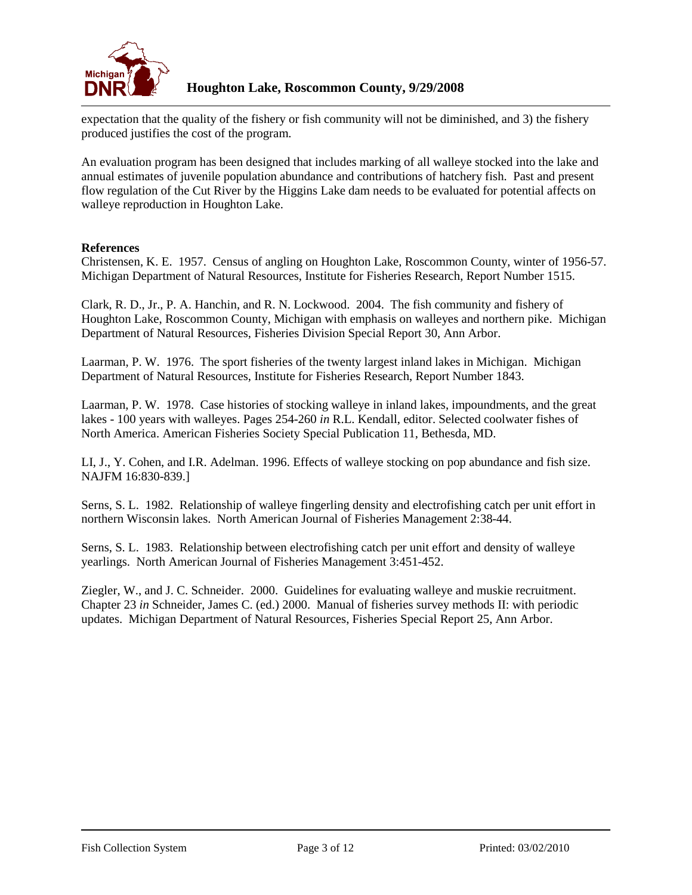

expectation that the quality of the fishery or fish community will not be diminished, and 3) the fishery produced justifies the cost of the program.

An evaluation program has been designed that includes marking of all walleye stocked into the lake and annual estimates of juvenile population abundance and contributions of hatchery fish. Past and present flow regulation of the Cut River by the Higgins Lake dam needs to be evaluated for potential affects on walleye reproduction in Houghton Lake.

## **References**

Christensen, K. E. 1957. Census of angling on Houghton Lake, Roscommon County, winter of 1956-57. Michigan Department of Natural Resources, Institute for Fisheries Research, Report Number 1515.

Clark, R. D., Jr., P. A. Hanchin, and R. N. Lockwood. 2004. The fish community and fishery of Houghton Lake, Roscommon County, Michigan with emphasis on walleyes and northern pike. Michigan Department of Natural Resources, Fisheries Division Special Report 30, Ann Arbor.

Laarman, P. W. 1976. The sport fisheries of the twenty largest inland lakes in Michigan. Michigan Department of Natural Resources, Institute for Fisheries Research, Report Number 1843.

Laarman, P. W. 1978. Case histories of stocking walleye in inland lakes, impoundments, and the great lakes - 100 years with walleyes. Pages 254-260 *in* R.L. Kendall, editor. Selected coolwater fishes of North America. American Fisheries Society Special Publication 11, Bethesda, MD.

LI, J., Y. Cohen, and I.R. Adelman. 1996. Effects of walleye stocking on pop abundance and fish size. NAJFM 16:830-839.]

Serns, S. L. 1982. Relationship of walleye fingerling density and electrofishing catch per unit effort in northern Wisconsin lakes. North American Journal of Fisheries Management 2:38-44.

Serns, S. L. 1983. Relationship between electrofishing catch per unit effort and density of walleye yearlings. North American Journal of Fisheries Management 3:451-452.

Ziegler, W., and J. C. Schneider. 2000. Guidelines for evaluating walleye and muskie recruitment. Chapter 23 *in* Schneider, James C. (ed.) 2000. Manual of fisheries survey methods II: with periodic updates. Michigan Department of Natural Resources, Fisheries Special Report 25, Ann Arbor.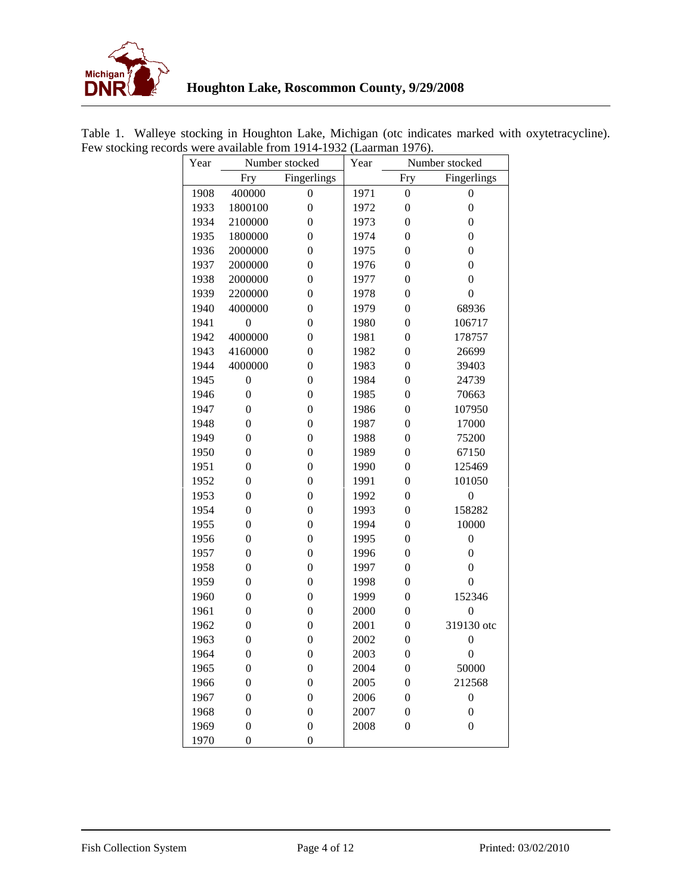

| uo<br>$\alpha$ available from 1914-1992<br>$($ Laarman 1770). |      |                    |                  |      |                  |                  |  |  |  |  |  |
|---------------------------------------------------------------|------|--------------------|------------------|------|------------------|------------------|--|--|--|--|--|
|                                                               | Year |                    | Number stocked   | Year | Number stocked   |                  |  |  |  |  |  |
|                                                               |      | Fingerlings<br>Fry |                  |      | Fry              | Fingerlings      |  |  |  |  |  |
|                                                               | 1908 | 400000             | $\boldsymbol{0}$ | 1971 | $\boldsymbol{0}$ | $\boldsymbol{0}$ |  |  |  |  |  |
|                                                               | 1933 | 1800100            | $\boldsymbol{0}$ | 1972 | $\boldsymbol{0}$ | $\boldsymbol{0}$ |  |  |  |  |  |
|                                                               | 1934 | 2100000            | $\boldsymbol{0}$ | 1973 | $\boldsymbol{0}$ | $\boldsymbol{0}$ |  |  |  |  |  |
|                                                               | 1935 | 1800000            | $\boldsymbol{0}$ | 1974 | $\boldsymbol{0}$ | $\boldsymbol{0}$ |  |  |  |  |  |
|                                                               | 1936 | 2000000            | $\boldsymbol{0}$ | 1975 | $\boldsymbol{0}$ | $\boldsymbol{0}$ |  |  |  |  |  |
|                                                               | 1937 | 2000000            | $\boldsymbol{0}$ | 1976 | $\boldsymbol{0}$ | $\boldsymbol{0}$ |  |  |  |  |  |
|                                                               | 1938 | 2000000            | $\boldsymbol{0}$ | 1977 | $\boldsymbol{0}$ | $\boldsymbol{0}$ |  |  |  |  |  |
|                                                               | 1939 | 2200000            | $\boldsymbol{0}$ | 1978 | $\boldsymbol{0}$ | $\boldsymbol{0}$ |  |  |  |  |  |
|                                                               | 1940 | 4000000            | $\boldsymbol{0}$ | 1979 | $\boldsymbol{0}$ | 68936            |  |  |  |  |  |
|                                                               | 1941 | $\boldsymbol{0}$   | $\boldsymbol{0}$ | 1980 | $\boldsymbol{0}$ | 106717           |  |  |  |  |  |
|                                                               | 1942 | 4000000            | $\boldsymbol{0}$ | 1981 | $\boldsymbol{0}$ | 178757           |  |  |  |  |  |
|                                                               | 1943 | 4160000            | $\boldsymbol{0}$ | 1982 | $\boldsymbol{0}$ | 26699            |  |  |  |  |  |
|                                                               | 1944 | 4000000            | $\boldsymbol{0}$ | 1983 | $\boldsymbol{0}$ | 39403            |  |  |  |  |  |
|                                                               | 1945 | $\boldsymbol{0}$   | $\boldsymbol{0}$ | 1984 | $\boldsymbol{0}$ | 24739            |  |  |  |  |  |
|                                                               | 1946 | $\boldsymbol{0}$   | $\boldsymbol{0}$ | 1985 | $\boldsymbol{0}$ | 70663            |  |  |  |  |  |
|                                                               | 1947 | $\boldsymbol{0}$   | $\boldsymbol{0}$ | 1986 | $\boldsymbol{0}$ | 107950           |  |  |  |  |  |
|                                                               | 1948 | $\boldsymbol{0}$   | $\boldsymbol{0}$ | 1987 | $\boldsymbol{0}$ | 17000            |  |  |  |  |  |
|                                                               | 1949 | $\boldsymbol{0}$   | $\boldsymbol{0}$ | 1988 | $\boldsymbol{0}$ | 75200            |  |  |  |  |  |
|                                                               | 1950 | $\boldsymbol{0}$   | $\boldsymbol{0}$ | 1989 | $\boldsymbol{0}$ | 67150            |  |  |  |  |  |
|                                                               | 1951 | $\boldsymbol{0}$   | $\boldsymbol{0}$ | 1990 | $\boldsymbol{0}$ | 125469           |  |  |  |  |  |
|                                                               | 1952 | $\boldsymbol{0}$   | $\boldsymbol{0}$ | 1991 | $\boldsymbol{0}$ | 101050           |  |  |  |  |  |
|                                                               | 1953 | $\boldsymbol{0}$   | $\boldsymbol{0}$ | 1992 | $\boldsymbol{0}$ | $\boldsymbol{0}$ |  |  |  |  |  |
|                                                               | 1954 | $\boldsymbol{0}$   | $\boldsymbol{0}$ | 1993 | $\boldsymbol{0}$ | 158282           |  |  |  |  |  |
|                                                               | 1955 | $\boldsymbol{0}$   | $\boldsymbol{0}$ | 1994 | $\boldsymbol{0}$ | 10000            |  |  |  |  |  |
|                                                               | 1956 | $\boldsymbol{0}$   | $\boldsymbol{0}$ | 1995 | $\boldsymbol{0}$ | $\boldsymbol{0}$ |  |  |  |  |  |
|                                                               | 1957 | $\boldsymbol{0}$   | $\boldsymbol{0}$ | 1996 | $\boldsymbol{0}$ | $\boldsymbol{0}$ |  |  |  |  |  |
|                                                               | 1958 | $\boldsymbol{0}$   | $\boldsymbol{0}$ | 1997 | $\boldsymbol{0}$ | $\boldsymbol{0}$ |  |  |  |  |  |
|                                                               | 1959 | $\boldsymbol{0}$   | $\boldsymbol{0}$ | 1998 | $\boldsymbol{0}$ | $\overline{0}$   |  |  |  |  |  |
|                                                               | 1960 | $\boldsymbol{0}$   | $\boldsymbol{0}$ | 1999 | $\boldsymbol{0}$ | 152346           |  |  |  |  |  |
|                                                               | 1961 | $\boldsymbol{0}$   | $\boldsymbol{0}$ | 2000 | $\boldsymbol{0}$ | $\boldsymbol{0}$ |  |  |  |  |  |
|                                                               | 1962 | $\boldsymbol{0}$   | $\boldsymbol{0}$ | 2001 | $\boldsymbol{0}$ | 319130 otc       |  |  |  |  |  |
|                                                               | 1963 | $\boldsymbol{0}$   | $\boldsymbol{0}$ | 2002 | $\boldsymbol{0}$ | $\overline{0}$   |  |  |  |  |  |
|                                                               | 1964 | $\overline{0}$     | $\boldsymbol{0}$ | 2003 | $\theta$         | $\mathbf{0}$     |  |  |  |  |  |
|                                                               | 1965 | $\boldsymbol{0}$   | $\boldsymbol{0}$ | 2004 | $\boldsymbol{0}$ | 50000            |  |  |  |  |  |
|                                                               | 1966 | $\boldsymbol{0}$   | $\boldsymbol{0}$ | 2005 | $\boldsymbol{0}$ | 212568           |  |  |  |  |  |
|                                                               | 1967 | $\boldsymbol{0}$   | $\boldsymbol{0}$ | 2006 | $\boldsymbol{0}$ | $\boldsymbol{0}$ |  |  |  |  |  |
|                                                               | 1968 | $\boldsymbol{0}$   | $\boldsymbol{0}$ | 2007 | $\boldsymbol{0}$ | $\boldsymbol{0}$ |  |  |  |  |  |
|                                                               | 1969 | $\boldsymbol{0}$   | $\boldsymbol{0}$ | 2008 | $\boldsymbol{0}$ | $\boldsymbol{0}$ |  |  |  |  |  |
|                                                               | 1970 | $\boldsymbol{0}$   | $\boldsymbol{0}$ |      |                  |                  |  |  |  |  |  |

Table 1. Walleye stocking in Houghton Lake, Michigan (otc indicates marked with oxytetracycline). Few stocking records were available from 1914-1932 (Laarman 1976).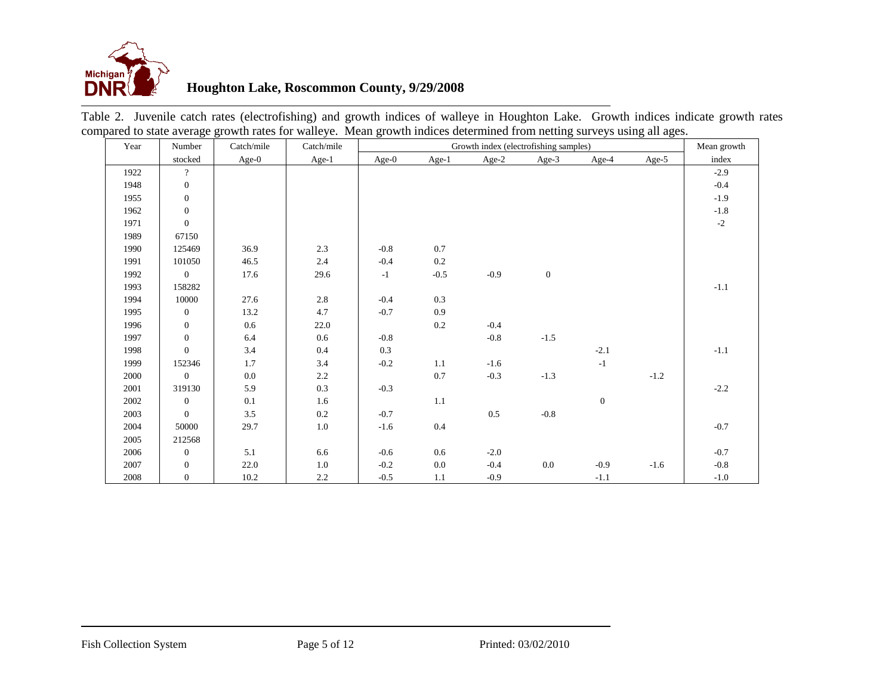

# **Houghton Lake, Roscommon County, 9/29/2008**

| Year | Number           | Catch/mile | Catch/mile | Growth index (electrofishing samples) |         |         |                  | Mean growth    |        |        |
|------|------------------|------------|------------|---------------------------------------|---------|---------|------------------|----------------|--------|--------|
|      | stocked          | $Age-0$    | Age-1      | Age- $0$                              | Age-1   | Age-2   | Age-3            | Age-4          | Age-5  | index  |
| 1922 | $\overline{?}$   |            |            |                                       |         |         |                  |                |        | $-2.9$ |
| 1948 | $\boldsymbol{0}$ |            |            |                                       |         |         |                  |                |        | $-0.4$ |
| 1955 | $\mathbf{0}$     |            |            |                                       |         |         |                  |                |        | $-1.9$ |
| 1962 | $\boldsymbol{0}$ |            |            |                                       |         |         |                  |                |        | $-1.8$ |
| 1971 | $\boldsymbol{0}$ |            |            |                                       |         |         |                  |                |        | $-2$   |
| 1989 | 67150            |            |            |                                       |         |         |                  |                |        |        |
| 1990 | 125469           | 36.9       | 2.3        | $-0.8$                                | $0.7\,$ |         |                  |                |        |        |
| 1991 | 101050           | 46.5       | 2.4        | $-0.4$                                | $0.2\,$ |         |                  |                |        |        |
| 1992 | $\boldsymbol{0}$ | 17.6       | 29.6       | $-1$                                  | $-0.5$  | $-0.9$  | $\boldsymbol{0}$ |                |        |        |
| 1993 | 158282           |            |            |                                       |         |         |                  |                |        | $-1.1$ |
| 1994 | 10000            | 27.6       | 2.8        | $-0.4$                                | 0.3     |         |                  |                |        |        |
| 1995 | $\mathbf{0}$     | 13.2       | 4.7        | $-0.7$                                | 0.9     |         |                  |                |        |        |
| 1996 | $\boldsymbol{0}$ | 0.6        | 22.0       |                                       | $0.2\,$ | $-0.4$  |                  |                |        |        |
| 1997 | $\boldsymbol{0}$ | 6.4        | $0.6\,$    | $-0.8$                                |         | $-0.8$  | $-1.5$           |                |        |        |
| 1998 | $\overline{0}$   | 3.4        | 0.4        | 0.3                                   |         |         |                  | $-2.1$         |        | $-1.1$ |
| 1999 | 152346           | 1.7        | 3.4        | $-0.2$                                | 1.1     | $-1.6$  |                  | $-1$           |        |        |
| 2000 | $\mathbf{0}$     | 0.0        | 2.2        |                                       | $0.7\,$ | $-0.3$  | $-1.3$           |                | $-1.2$ |        |
| 2001 | 319130           | 5.9        | 0.3        | $-0.3$                                |         |         |                  |                |        | $-2.2$ |
| 2002 | $\mathbf{0}$     | 0.1        | 1.6        |                                       | 1.1     |         |                  | $\overline{0}$ |        |        |
| 2003 | $\mathbf{0}$     | 3.5        | 0.2        | $-0.7$                                |         | $0.5\,$ | $-0.8$           |                |        |        |
| 2004 | 50000            | 29.7       | 1.0        | $-1.6$                                | $0.4\,$ |         |                  |                |        | $-0.7$ |
| 2005 | 212568           |            |            |                                       |         |         |                  |                |        |        |
| 2006 | $\mathbf{0}$     | 5.1        | 6.6        | $-0.6$                                | $0.6\,$ | $-2.0$  |                  |                |        | $-0.7$ |
| 2007 | $\mathbf{0}$     | 22.0       | $1.0\,$    | $-0.2$                                | $0.0\,$ | $-0.4$  | $0.0\,$          | $-0.9$         | $-1.6$ | $-0.8$ |
| 2008 | $\mathbf{0}$     | 10.2       | $2.2\,$    | $-0.5$                                | 1.1     | $-0.9$  |                  | $-1.1$         |        | $-1.0$ |

Table 2. Juvenile catch rates (electrofishing) and growth indices of walleye in Houghton Lake. Growth indices indicate growth rates compared to state average growth rates for walleye. Mean growth indices determined from netting surveys using all ages.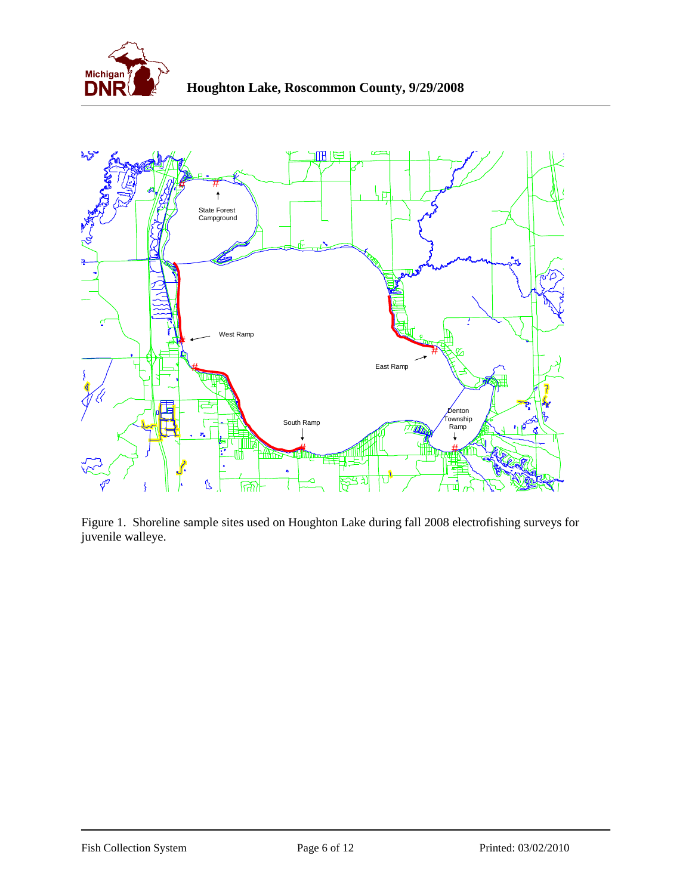



Figure 1. Shoreline sample sites used on Houghton Lake during fall 2008 electrofishing surveys for juvenile walleye.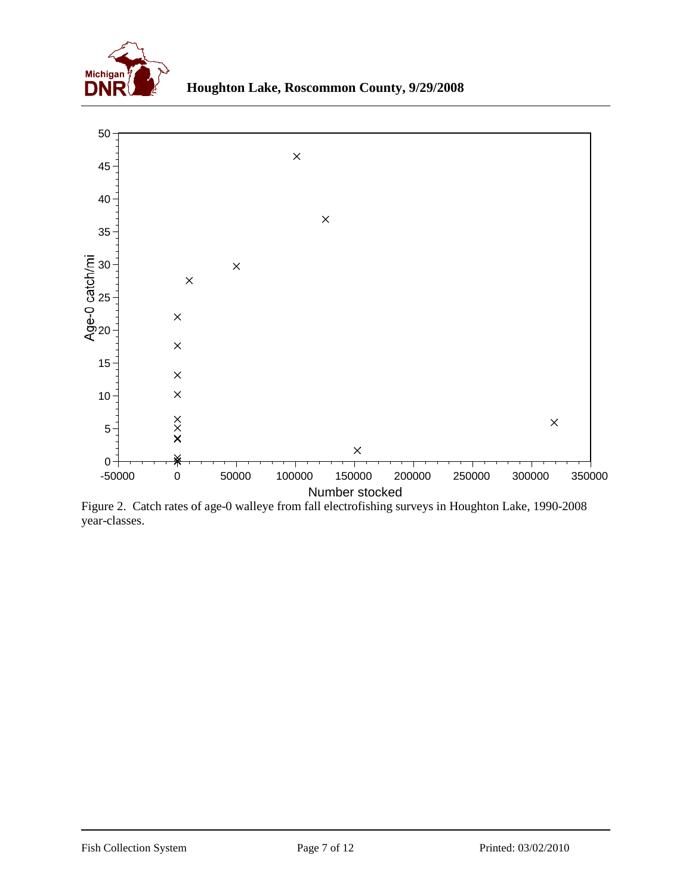



Figure 2. Catch rates of age-0 walleye from fall electrofishing surveys in Houghton Lake, 1990-2008 year-classes.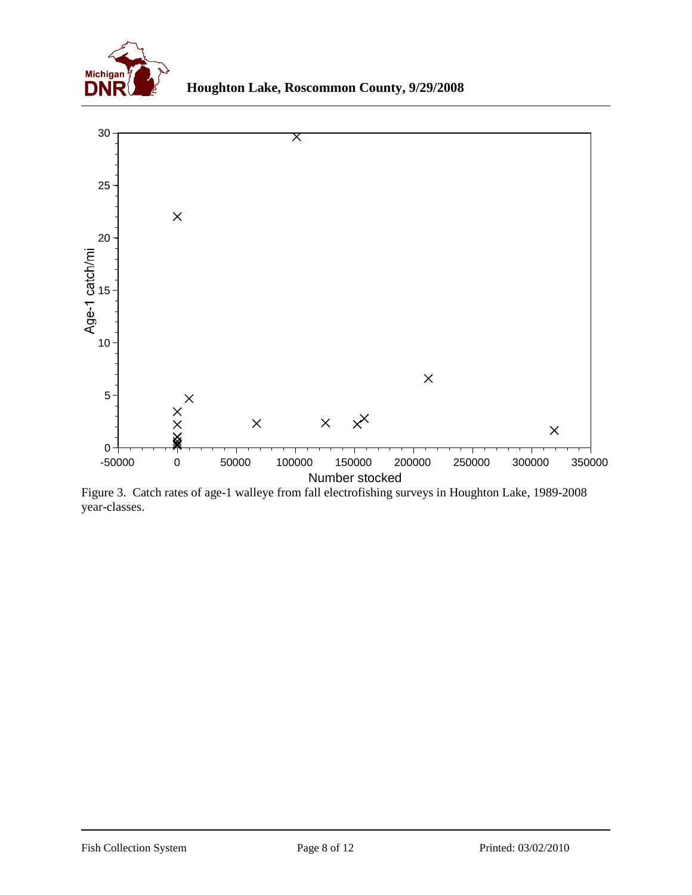



Figure 3. Catch rates of age-1 walleye from fall electrofishing surveys in Houghton Lake, 1989-2008 year-classes.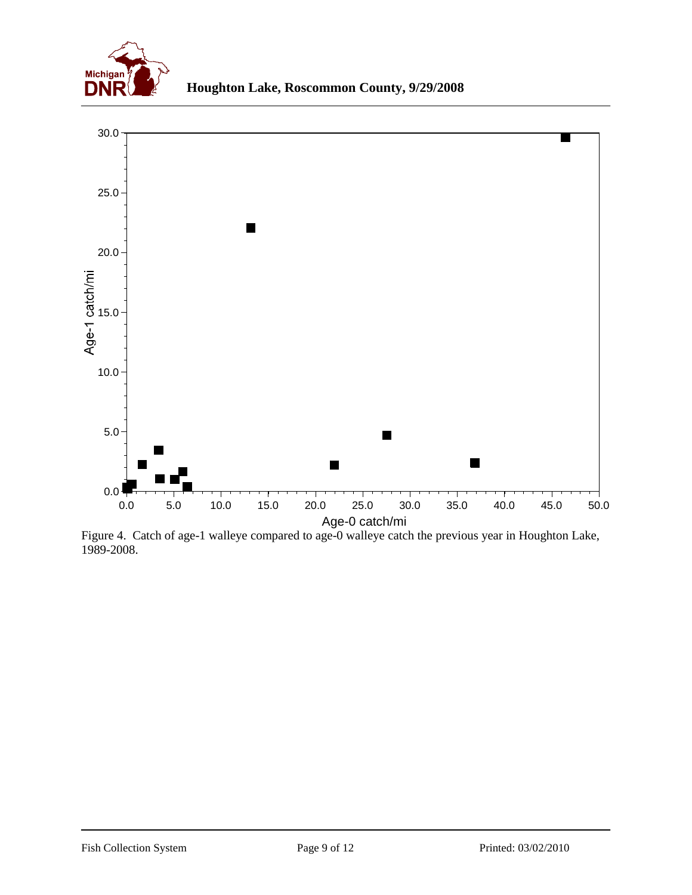



Figure 4. Catch of age-1 walleye compared to age-0 walleye catch the previous year in Houghton Lake, 1989-2008.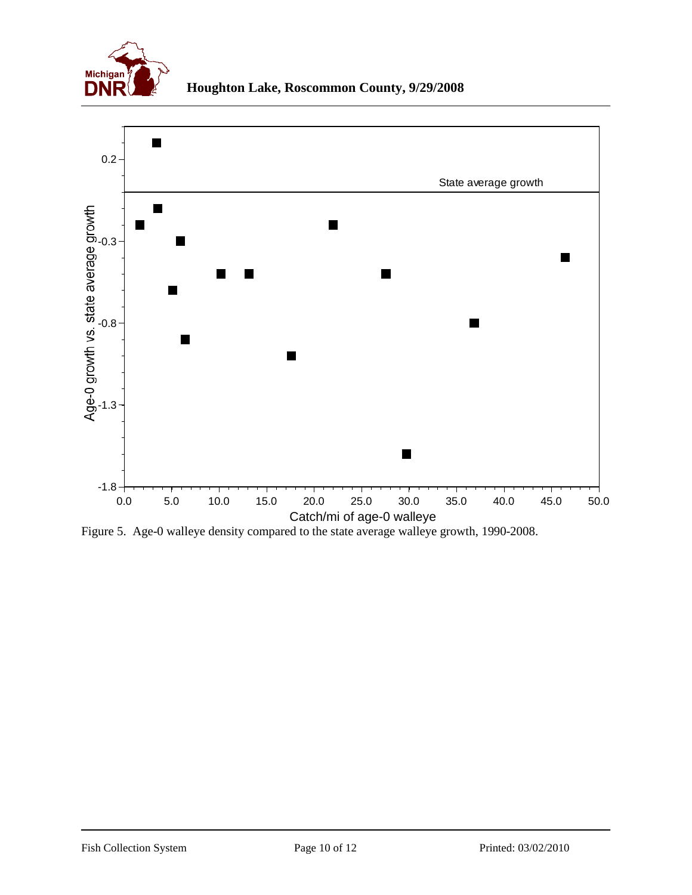



Figure 5. Age-0 walleye density compared to the state average walleye growth, 1990-2008.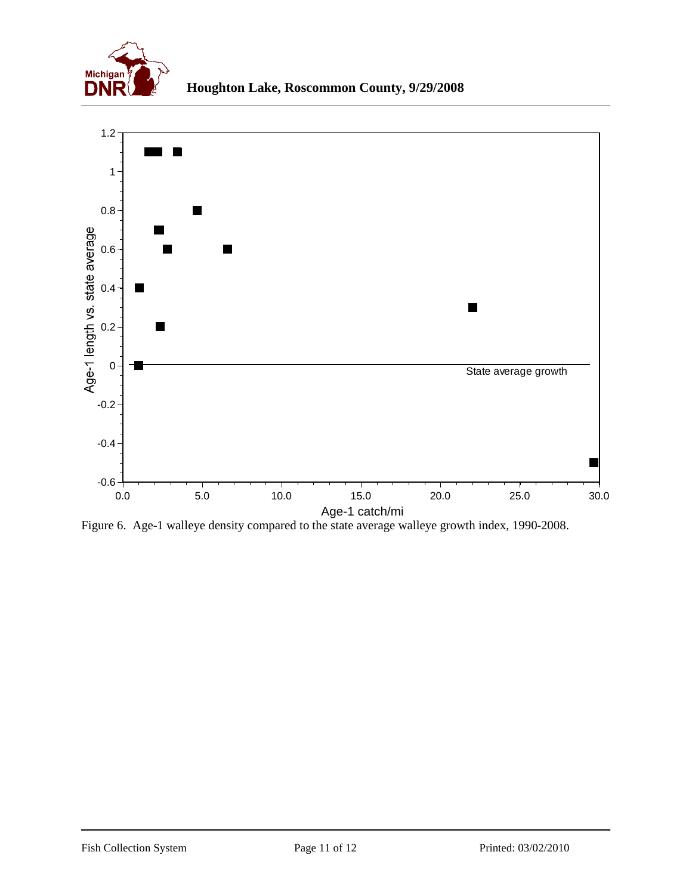



Figure 6. Age-1 walleye density compared to the state average walleye growth index, 1990-2008.